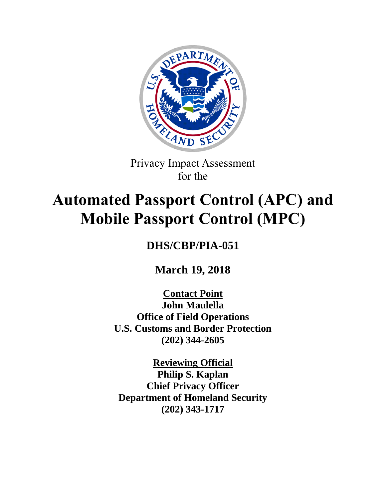

Privacy Impact Assessment for the

# **Automated Passport Control (APC) and Mobile Passport Control (MPC)**

# **DHS/CBP/PIA-051**

**March 19, 2018**

**Contact Point John Maulella Office of Field Operations U.S. Customs and Border Protection (202) 344-2605**

**Reviewing Official Philip S. Kaplan Chief Privacy Officer Department of Homeland Security (202) 343-1717**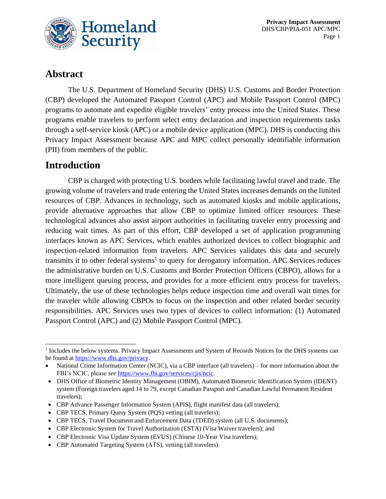

**Privacy Impact Assessment** DHS/CBP/PIA-051 APC/MPC Page 1

# **Abstract**

The U.S. Department of Homeland Security (DHS) U.S. Customs and Border Protection (CBP) developed the Automated Passport Control (APC) and Mobile Passport Control (MPC) programs to automate and expedite eligible travelers' entry process into the United States. These programs enable travelers to perform select entry declaration and inspection requirements tasks through a self-service kiosk (APC) or a mobile device application (MPC). DHS is conducting this Privacy Impact Assessment because APC and MPC collect personally identifiable information (PII) from members of the public.

## **Introduction**

CBP is charged with protecting U.S. borders while facilitating lawful travel and trade. The growing volume of travelers and trade entering the United States increases demands on the limited resources of CBP. Advances in technology, such as automated kiosks and mobile applications, provide alternative approaches that allow CBP to optimize limited officer resources. These technological advances also assist airport authorities in facilitating traveler entry processing and reducing wait times. As part of this effort, CBP developed a set of application programming interfaces known as APC Services, which enables authorized devices to collect biographic and inspection-related information from travelers. APC Services validates this data and securely transmits it to other federal systems<sup>1</sup> to query for derogatory information. APC Services reduces the administrative burden on U.S. Customs and Border Protection Officers (CBPO), allows for a more intelligent queuing process, and provides for a more efficient entry process for travelers. Ultimately, the use of these technologies helps reduce inspection time and overall wait times for the traveler while allowing CBPOs to focus on the inspection and other related border security responsibilities. APC Services uses two types of devices to collect information: (1) Automated Passport Control (APC) and (2) Mobile Passport Control (MPC).

- CBP Advance Passenger Information System (APIS), flight manifest data (all travelers);
- CBP TECS, Primary Query System (PQS) vetting (all travelers);
- CBP TECS, Travel Document and Enforcement Data (TDED) system (all U.S. documents);
- CBP Electronic System for Travel Authorization (ESTA) (Visa Waiver travelers); and
- CBP Electronic Visa Update System (EVUS) (Chinese 10-Year Visa travelers);
- CBP Automated Targeting System (ATS), vetting (all travelers).

<sup>&</sup>lt;sup>1</sup> Includes the below systems. Privacy Impact Assessments and System of Records Notices for the DHS systems can be found a[t https://www.dhs.gov/privacy.](https://www.dhs.gov/privacy)

<sup>•</sup> National Crime Information Center (NCIC), via a CBP interface (all travelers) – for more information about the FBI's NCIC, please *see* [https://www.fbi.gov/services/cjis/ncic.](https://www.fbi.gov/services/cjis/ncic)

<sup>•</sup> DHS Office of Biometric Identity Management (OBIM), Automated Biometric Identification System (IDENT) system (Foreign travelers aged 14 to 79, except Canadian Passport and Canadian Lawful Permanent Resident travelers);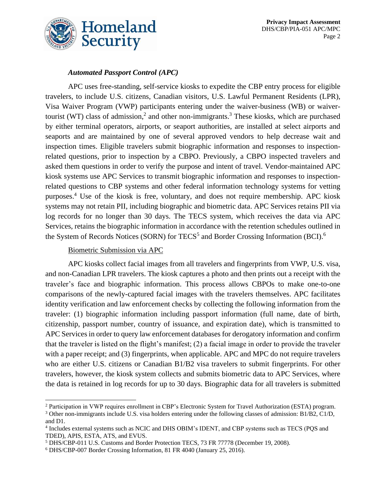

#### *Automated Passport Control (APC)*

APC uses free-standing, self-service kiosks to expedite the CBP entry process for eligible travelers, to include U.S. citizens, Canadian visitors, U.S. Lawful Permanent Residents (LPR), Visa Waiver Program (VWP) participants entering under the waiver-business (WB) or waivertourist (WT) class of admission, 2 and other non-immigrants. <sup>3</sup> These kiosks, which are purchased by either terminal operators, airports, or seaport authorities, are installed at select airports and seaports and are maintained by one of several approved vendors to help decrease wait and inspection times. Eligible travelers submit biographic information and responses to inspectionrelated questions, prior to inspection by a CBPO. Previously, a CBPO inspected travelers and asked them questions in order to verify the purpose and intent of travel. Vendor-maintained APC kiosk systems use APC Services to transmit biographic information and responses to inspectionrelated questions to CBP systems and other federal information technology systems for vetting purposes. <sup>4</sup> Use of the kiosk is free, voluntary, and does not require membership. APC kiosk systems may not retain PII, including biographic and biometric data. APC Services retains PII via log records for no longer than 30 days. The TECS system, which receives the data via APC Services, retains the biographic information in accordance with the retention schedules outlined in the System of Records Notices (SORN) for TECS<sup>5</sup> and Border Crossing Information (BCI).<sup>6</sup>

#### Biometric Submission via APC

APC kiosks collect facial images from all travelers and fingerprints from VWP, U.S. visa, and non-Canadian LPR travelers. The kiosk captures a photo and then prints out a receipt with the traveler's face and biographic information. This process allows CBPOs to make one-to-one comparisons of the newly-captured facial images with the travelers themselves. APC facilitates identity verification and law enforcement checks by collecting the following information from the traveler: (1) biographic information including passport information (full name, date of birth, citizenship, passport number, country of issuance, and expiration date), which is transmitted to APC Services in order to query law enforcement databases for derogatory information and confirm that the traveler is listed on the flight's manifest; (2) a facial image in order to provide the traveler with a paper receipt; and (3) fingerprints, when applicable. APC and MPC do not require travelers who are either U.S. citizens or Canadian B1/B2 visa travelers to submit fingerprints. For other travelers, however, the kiosk system collects and submits biometric data to APC Services, where the data is retained in log records for up to 30 days. Biographic data for all travelers is submitted

<sup>2</sup> Participation in VWP requires enrollment in CBP's Electronic System for Travel Authorization (ESTA) program.

<sup>3</sup> Other non-immigrants include U.S. visa holders entering under the following classes of admission: B1/B2, C1/D, and D1.

<sup>4</sup> Includes external systems such as NCIC and DHS OBIM's IDENT, and CBP systems such as TECS (PQS and TDED), APIS, ESTA, ATS, and EVUS.

<sup>5</sup> DHS/CBP-011 U.S. Customs and Border Protection TECS, 73 FR 77778 (December 19, 2008).

<sup>6</sup> DHS/CBP-007 Border Crossing Information, 81 FR 4040 (January 25, 2016).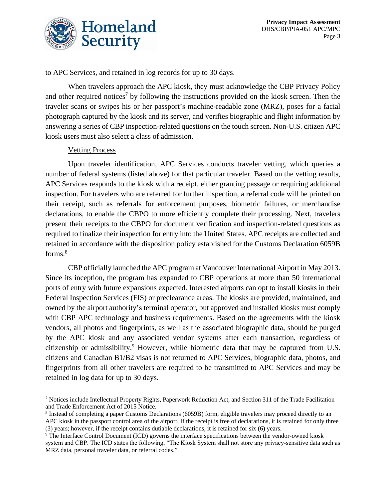

to APC Services, and retained in log records for up to 30 days.

When travelers approach the APC kiosk, they must acknowledge the CBP Privacy Policy and other required notices<sup>7</sup> by following the instructions provided on the kiosk screen. Then the traveler scans or swipes his or her passport's machine-readable zone (MRZ), poses for a facial photograph captured by the kiosk and its server, and verifies biographic and flight information by answering a series of CBP inspection-related questions on the touch screen. Non-U.S. citizen APC kiosk users must also select a class of admission.

#### Vetting Process

Upon traveler identification, APC Services conducts traveler vetting, which queries a number of federal systems (listed above) for that particular traveler. Based on the vetting results, APC Services responds to the kiosk with a receipt, either granting passage or requiring additional inspection. For travelers who are referred for further inspection, a referral code will be printed on their receipt, such as referrals for enforcement purposes, biometric failures, or merchandise declarations, to enable the CBPO to more efficiently complete their processing. Next, travelers present their receipts to the CBPO for document verification and inspection-related questions as required to finalize their inspection for entry into the United States. APC receipts are collected and retained in accordance with the disposition policy established for the Customs Declaration 6059B forms.<sup>8</sup>

CBP officially launched the APC program at Vancouver International Airport in May 2013. Since its inception, the program has expanded to CBP operations at more than 50 international ports of entry with future expansions expected. Interested airports can opt to install kiosks in their Federal Inspection Services (FIS) or preclearance areas. The kiosks are provided, maintained, and owned by the airport authority's terminal operator, but approved and installed kiosks must comply with CBP APC technology and business requirements. Based on the agreements with the kiosk vendors, all photos and fingerprints, as well as the associated biographic data, should be purged by the APC kiosk and any associated vendor systems after each transaction, regardless of citizenship or admissibility.<sup>9</sup> However, while biometric data that may be captured from U.S. citizens and Canadian B1/B2 visas is not returned to APC Services, biographic data, photos, and fingerprints from all other travelers are required to be transmitted to APC Services and may be retained in log data for up to 30 days.

 $<sup>7</sup>$  Notices include Intellectual Property Rights, Paperwork Reduction Act, and Section 311 of the Trade Facilitation</sup> and Trade Enforcement Act of 2015 Notice.

<sup>&</sup>lt;sup>8</sup> Instead of completing a paper Customs Declarations (6059B) form, eligible travelers may proceed directly to an APC kiosk in the passport control area of the airport. If the receipt is free of declarations, it is retained for only three (3) years; however, if the receipt contains dutiable declarations, it is retained for six (6) years.

<sup>&</sup>lt;sup>9</sup> The Interface Control Document (ICD) governs the interface specifications between the vendor-owned kiosk system and CBP. The ICD states the following, "The Kiosk System shall not store any privacy-sensitive data such as MRZ data, personal traveler data, or referral codes."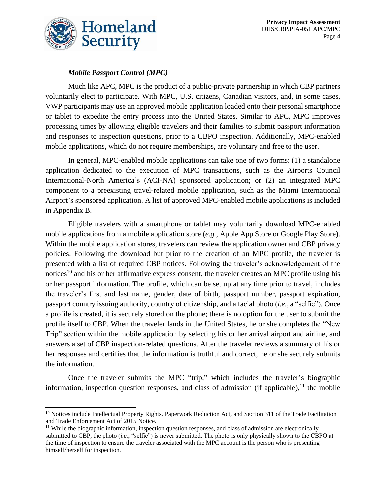

#### *Mobile Passport Control (MPC)*

Much like APC, MPC is the product of a public-private partnership in which CBP partners voluntarily elect to participate. With MPC, U.S. citizens, Canadian visitors, and, in some cases, VWP participants may use an approved mobile application loaded onto their personal smartphone or tablet to expedite the entry process into the United States. Similar to APC, MPC improves processing times by allowing eligible travelers and their families to submit passport information and responses to inspection questions, prior to a CBPO inspection. Additionally, MPC-enabled mobile applications, which do not require memberships, are voluntary and free to the user.

In general, MPC-enabled mobile applications can take one of two forms: (1) a standalone application dedicated to the execution of MPC transactions, such as the Airports Council International-North America's (ACI-NA) sponsored application; or (2) an integrated MPC component to a preexisting travel-related mobile application, such as the Miami International Airport's sponsored application. A list of approved MPC-enabled mobile applications is included in Appendix B.

Eligible travelers with a smartphone or tablet may voluntarily download MPC-enabled mobile applications from a mobile application store (*e.g.*, Apple App Store or Google Play Store). Within the mobile application stores, travelers can review the application owner and CBP privacy policies. Following the download but prior to the creation of an MPC profile, the traveler is presented with a list of required CBP notices. Following the traveler's acknowledgement of the notices<sup>10</sup> and his or her affirmative express consent, the traveler creates an MPC profile using his or her passport information. The profile, which can be set up at any time prior to travel, includes the traveler's first and last name, gender, date of birth, passport number, passport expiration, passport country issuing authority, country of citizenship, and a facial photo (*i.e.*, a "selfie"). Once a profile is created, it is securely stored on the phone; there is no option for the user to submit the profile itself to CBP. When the traveler lands in the United States, he or she completes the "New Trip" section within the mobile application by selecting his or her arrival airport and airline, and answers a set of CBP inspection-related questions. After the traveler reviews a summary of his or her responses and certifies that the information is truthful and correct, he or she securely submits the information.

Once the traveler submits the MPC "trip," which includes the traveler's biographic information, inspection question responses, and class of admission (if applicable), $<sup>11</sup>$  the mobile</sup>

<sup>&</sup>lt;sup>10</sup> Notices include Intellectual Property Rights, Paperwork Reduction Act, and Section 311 of the Trade Facilitation and Trade Enforcement Act of 2015 Notice.

<sup>&</sup>lt;sup>11</sup> While the biographic information, inspection question responses, and class of admission are electronically submitted to CBP, the photo (*i.e.*, "selfie") is never submitted. The photo is only physically shown to the CBPO at the time of inspection to ensure the traveler associated with the MPC account is the person who is presenting himself/herself for inspection.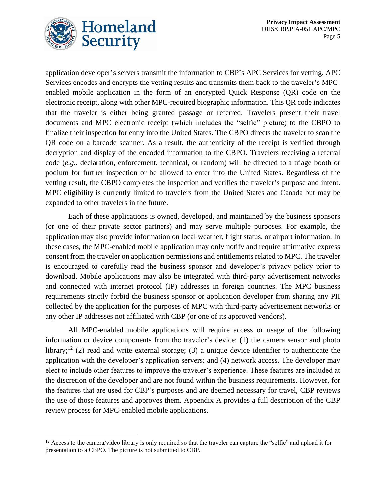

application developer's servers transmit the information to CBP's APC Services for vetting. APC Services encodes and encrypts the vetting results and transmits them back to the traveler's MPCenabled mobile application in the form of an encrypted Quick Response (QR) code on the electronic receipt, along with other MPC-required biographic information. This QR code indicates that the traveler is either being granted passage or referred. Travelers present their travel documents and MPC electronic receipt (which includes the "selfie" picture) to the CBPO to finalize their inspection for entry into the United States. The CBPO directs the traveler to scan the QR code on a barcode scanner. As a result, the authenticity of the receipt is verified through decryption and display of the encoded information to the CBPO. Travelers receiving a referral code (*e.g.*, declaration, enforcement, technical, or random) will be directed to a triage booth or podium for further inspection or be allowed to enter into the United States. Regardless of the vetting result, the CBPO completes the inspection and verifies the traveler's purpose and intent. MPC eligibility is currently limited to travelers from the United States and Canada but may be expanded to other travelers in the future.

Each of these applications is owned, developed, and maintained by the business sponsors (or one of their private sector partners) and may serve multiple purposes. For example, the application may also provide information on local weather, flight status, or airport information. In these cases, the MPC-enabled mobile application may only notify and require affirmative express consent from the traveler on application permissions and entitlements related to MPC. The traveler is encouraged to carefully read the business sponsor and developer's privacy policy prior to download. Mobile applications may also be integrated with third-party advertisement networks and connected with internet protocol (IP) addresses in foreign countries. The MPC business requirements strictly forbid the business sponsor or application developer from sharing any PII collected by the application for the purposes of MPC with third-party advertisement networks or any other IP addresses not affiliated with CBP (or one of its approved vendors).

All MPC-enabled mobile applications will require access or usage of the following information or device components from the traveler's device: (1) the camera sensor and photo library;<sup>12</sup> (2) read and write external storage; (3) a unique device identifier to authenticate the application with the developer's application servers; and (4) network access. The developer may elect to include other features to improve the traveler's experience. These features are included at the discretion of the developer and are not found within the business requirements. However, for the features that are used for CBP's purposes and are deemed necessary for travel, CBP reviews the use of those features and approves them. Appendix A provides a full description of the CBP review process for MPC-enabled mobile applications.

 $12$  Access to the camera/video library is only required so that the traveler can capture the "selfie" and upload it for presentation to a CBPO. The picture is not submitted to CBP.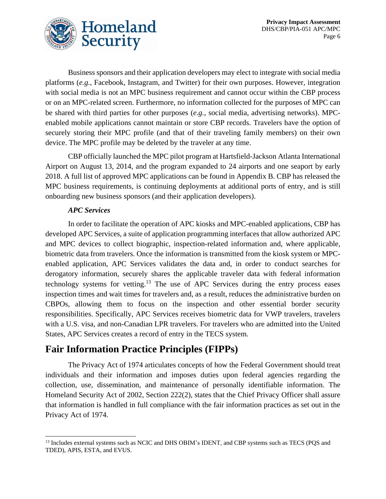



Business sponsors and their application developers may elect to integrate with social media platforms (*e.g.*, Facebook, Instagram, and Twitter) for their own purposes. However, integration with social media is not an MPC business requirement and cannot occur within the CBP process or on an MPC-related screen. Furthermore, no information collected for the purposes of MPC can be shared with third parties for other purposes (*e.g.*, social media, advertising networks). MPCenabled mobile applications cannot maintain or store CBP records. Travelers have the option of securely storing their MPC profile (and that of their traveling family members) on their own device. The MPC profile may be deleted by the traveler at any time.

CBP officially launched the MPC pilot program at Hartsfield-Jackson Atlanta International Airport on August 13, 2014, and the program expanded to 24 airports and one seaport by early 2018. A full list of approved MPC applications can be found in Appendix B. CBP has released the MPC business requirements, is continuing deployments at additional ports of entry, and is still onboarding new business sponsors (and their application developers).

#### *APC Services*

In order to facilitate the operation of APC kiosks and MPC-enabled applications, CBP has developed APC Services, a suite of application programming interfaces that allow authorized APC and MPC devices to collect biographic, inspection-related information and, where applicable, biometric data from travelers. Once the information is transmitted from the kiosk system or MPCenabled application, APC Services validates the data and, in order to conduct searches for derogatory information, securely shares the applicable traveler data with federal information technology systems for vetting.<sup>13</sup> The use of APC Services during the entry process eases inspection times and wait times for travelers and, as a result, reduces the administrative burden on CBPOs, allowing them to focus on the inspection and other essential border security responsibilities. Specifically, APC Services receives biometric data for VWP travelers, travelers with a U.S. visa, and non-Canadian LPR travelers. For travelers who are admitted into the United States, APC Services creates a record of entry in the TECS system.

## **Fair Information Practice Principles (FIPPs)**

The Privacy Act of 1974 articulates concepts of how the Federal Government should treat individuals and their information and imposes duties upon federal agencies regarding the collection, use, dissemination, and maintenance of personally identifiable information. The Homeland Security Act of 2002, Section 222(2), states that the Chief Privacy Officer shall assure that information is handled in full compliance with the fair information practices as set out in the Privacy Act of 1974.

<sup>&</sup>lt;sup>13</sup> Includes external systems such as NCIC and DHS OBIM's IDENT, and CBP systems such as TECS (PQS and TDED), APIS, ESTA, and EVUS.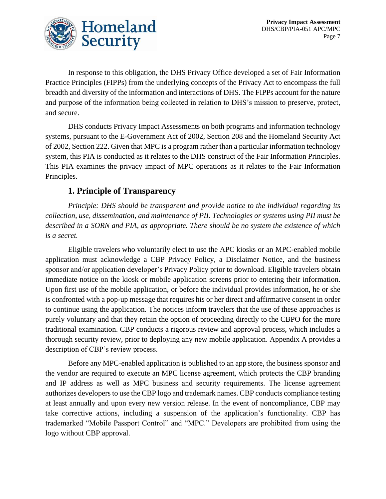

In response to this obligation, the DHS Privacy Office developed a set of Fair Information Practice Principles (FIPPs) from the underlying concepts of the Privacy Act to encompass the full breadth and diversity of the information and interactions of DHS. The FIPPs account for the nature and purpose of the information being collected in relation to DHS's mission to preserve, protect, and secure.

DHS conducts Privacy Impact Assessments on both programs and information technology systems, pursuant to the E-Government Act of 2002, Section 208 and the Homeland Security Act of 2002, Section 222. Given that MPC is a program rather than a particular information technology system, this PIA is conducted as it relates to the DHS construct of the Fair Information Principles. This PIA examines the privacy impact of MPC operations as it relates to the Fair Information Principles.

#### **1. Principle of Transparency**

*Principle: DHS should be transparent and provide notice to the individual regarding its collection, use, dissemination, and maintenance of PII. Technologies or systems using PII must be described in a SORN and PIA, as appropriate. There should be no system the existence of which is a secret.*

Eligible travelers who voluntarily elect to use the APC kiosks or an MPC-enabled mobile application must acknowledge a CBP Privacy Policy, a Disclaimer Notice, and the business sponsor and/or application developer's Privacy Policy prior to download. Eligible travelers obtain immediate notice on the kiosk or mobile application screens prior to entering their information. Upon first use of the mobile application, or before the individual provides information, he or she is confronted with a pop-up message that requires his or her direct and affirmative consent in order to continue using the application. The notices inform travelers that the use of these approaches is purely voluntary and that they retain the option of proceeding directly to the CBPO for the more traditional examination. CBP conducts a rigorous review and approval process, which includes a thorough security review, prior to deploying any new mobile application. Appendix A provides a description of CBP's review process.

Before any MPC-enabled application is published to an app store, the business sponsor and the vendor are required to execute an MPC license agreement, which protects the CBP branding and IP address as well as MPC business and security requirements. The license agreement authorizes developers to use the CBP logo and trademark names. CBP conducts compliance testing at least annually and upon every new version release. In the event of noncompliance, CBP may take corrective actions, including a suspension of the application's functionality. CBP has trademarked "Mobile Passport Control" and "MPC." Developers are prohibited from using the logo without CBP approval.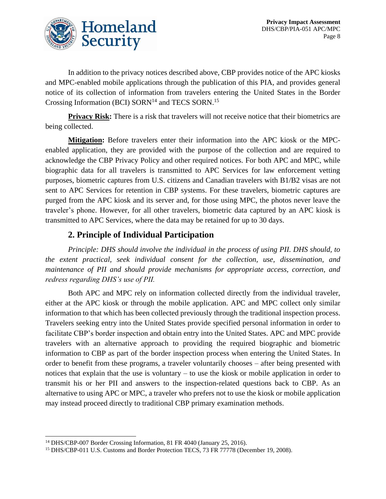

In addition to the privacy notices described above, CBP provides notice of the APC kiosks and MPC-enabled mobile applications through the publication of this PIA, and provides general notice of its collection of information from travelers entering the United States in the Border Crossing Information (BCI) SORN<sup>14</sup> and TECS SORN.<sup>15</sup>

**Privacy Risk:** There is a risk that travelers will not receive notice that their biometrics are being collected.

**Mitigation:** Before travelers enter their information into the APC kiosk or the MPCenabled application, they are provided with the purpose of the collection and are required to acknowledge the CBP Privacy Policy and other required notices. For both APC and MPC, while biographic data for all travelers is transmitted to APC Services for law enforcement vetting purposes, biometric captures from U.S. citizens and Canadian travelers with B1/B2 visas are not sent to APC Services for retention in CBP systems. For these travelers, biometric captures are purged from the APC kiosk and its server and, for those using MPC, the photos never leave the traveler's phone. However, for all other travelers, biometric data captured by an APC kiosk is transmitted to APC Services, where the data may be retained for up to 30 days.

#### **2. Principle of Individual Participation**

*Principle: DHS should involve the individual in the process of using PII. DHS should, to the extent practical, seek individual consent for the collection, use, dissemination, and maintenance of PII and should provide mechanisms for appropriate access, correction, and redress regarding DHS's use of PII.*

Both APC and MPC rely on information collected directly from the individual traveler, either at the APC kiosk or through the mobile application. APC and MPC collect only similar information to that which has been collected previously through the traditional inspection process. Travelers seeking entry into the United States provide specified personal information in order to facilitate CBP's border inspection and obtain entry into the United States. APC and MPC provide travelers with an alternative approach to providing the required biographic and biometric information to CBP as part of the border inspection process when entering the United States. In order to benefit from these programs, a traveler voluntarily chooses – after being presented with notices that explain that the use is voluntary – to use the kiosk or mobile application in order to transmit his or her PII and answers to the inspection-related questions back to CBP. As an alternative to using APC or MPC, a traveler who prefers not to use the kiosk or mobile application may instead proceed directly to traditional CBP primary examination methods.

<sup>&</sup>lt;sup>14</sup> DHS/CBP-007 Border Crossing Information, 81 FR 4040 (January 25, 2016).

<sup>&</sup>lt;sup>15</sup> DHS/CBP-011 U.S. Customs and Border Protection TECS, 73 FR 77778 (December 19, 2008).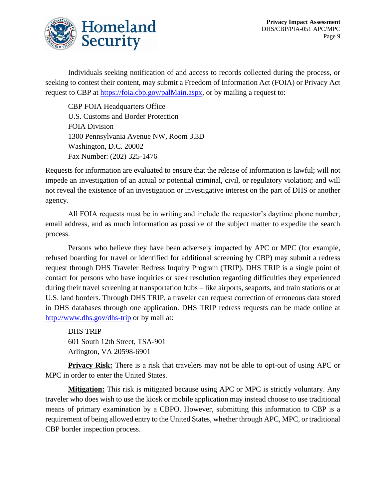

Individuals seeking notification of and access to records collected during the process, or seeking to contest their content, may submit a Freedom of Information Act (FOIA) or Privacy Act request to CBP at [https://foia.cbp.gov/palMain.aspx,](https://foia.cbp.gov/palMain.aspx) or by mailing a request to:

CBP FOIA Headquarters Office U.S. Customs and Border Protection FOIA Division 1300 Pennsylvania Avenue NW, Room 3.3D Washington, D.C. 20002 Fax Number: (202) 325-1476

Requests for information are evaluated to ensure that the release of information is lawful; will not impede an investigation of an actual or potential criminal, civil, or regulatory violation; and will not reveal the existence of an investigation or investigative interest on the part of DHS or another agency.

All FOIA requests must be in writing and include the requestor's daytime phone number, email address, and as much information as possible of the subject matter to expedite the search process.

Persons who believe they have been adversely impacted by APC or MPC (for example, refused boarding for travel or identified for additional screening by CBP) may submit a redress request through DHS Traveler Redress Inquiry Program (TRIP). DHS TRIP is a single point of contact for persons who have inquiries or seek resolution regarding difficulties they experienced during their travel screening at transportation hubs – like airports, seaports, and train stations or at U.S. land borders. Through DHS TRIP, a traveler can request correction of erroneous data stored in DHS databases through one application. DHS TRIP redress requests can be made online at http://www.dhs.gov/dhs-trip or by mail at:

DHS TRIP 601 South 12th Street, TSA-901 Arlington, VA 20598-6901

**Privacy Risk:** There is a risk that travelers may not be able to opt-out of using APC or MPC in order to enter the United States.

**Mitigation:** This risk is mitigated because using APC or MPC is strictly voluntary. Any traveler who does wish to use the kiosk or mobile application may instead choose to use traditional means of primary examination by a CBPO. However, submitting this information to CBP is a requirement of being allowed entry to the United States, whether through APC, MPC, or traditional CBP border inspection process.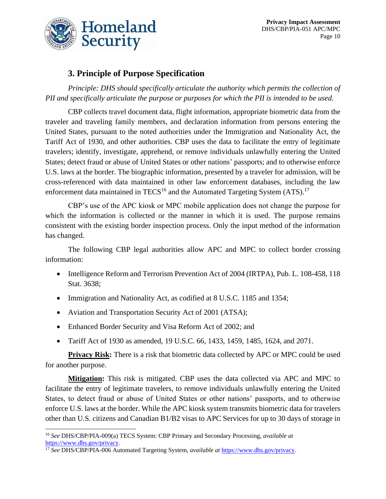

**Privacy Impact Assessment** DHS/CBP/PIA-051 APC/MPC Page 10

## **3. Principle of Purpose Specification**

*Principle: DHS should specifically articulate the authority which permits the collection of PII and specifically articulate the purpose or purposes for which the PII is intended to be used.*

CBP collects travel document data, flight information, appropriate biometric data from the traveler and traveling family members, and declaration information from persons entering the United States, pursuant to the noted authorities under the Immigration and Nationality Act, the Tariff Act of 1930, and other authorities. CBP uses the data to facilitate the entry of legitimate travelers; identify, investigate, apprehend, or remove individuals unlawfully entering the United States; detect fraud or abuse of United States or other nations' passports; and to otherwise enforce U.S. laws at the border. The biographic information, presented by a traveler for admission, will be cross-referenced with data maintained in other law enforcement databases, including the law enforcement data maintained in TECS<sup>16</sup> and the Automated Targeting System  $(ATS)$ .<sup>17</sup>

CBP's use of the APC kiosk or MPC mobile application does not change the purpose for which the information is collected or the manner in which it is used. The purpose remains consistent with the existing border inspection process. Only the input method of the information has changed.

The following CBP legal authorities allow APC and MPC to collect border crossing information:

- Intelligence Reform and Terrorism Prevention Act of 2004 (IRTPA), Pub. L. 108-458, 118 Stat. 3638;
- Immigration and Nationality Act, as codified at 8 U.S.C. 1185 and 1354;
- Aviation and Transportation Security Act of 2001 (ATSA);
- Enhanced Border Security and Visa Reform Act of 2002; and
- Tariff Act of 1930 as amended, 19 U.S.C. 66, 1433, 1459, 1485, 1624, and 2071.

**Privacy Risk:** There is a risk that biometric data collected by APC or MPC could be used for another purpose.

**Mitigation:** This risk is mitigated. CBP uses the data collected via APC and MPC to facilitate the entry of legitimate travelers, to remove individuals unlawfully entering the United States, to detect fraud or abuse of United States or other nations' passports, and to otherwise enforce U.S. laws at the border. While the APC kiosk system transmits biometric data for travelers other than U.S. citizens and Canadian B1/B2 visas to APC Services for up to 30 days of storage in

<sup>16</sup> *See* DHS/CBP/PIA-009(a) TECS System: CBP Primary and Secondary Processing, *available at* [https://www.dhs.gov/privacy.](https://www.dhs.gov/privacy)

<sup>17</sup> *See* DHS/CBP/PIA-006 Automated Targeting System, *available at* [https://www.dhs.gov/privacy.](https://www.dhs.gov/privacy)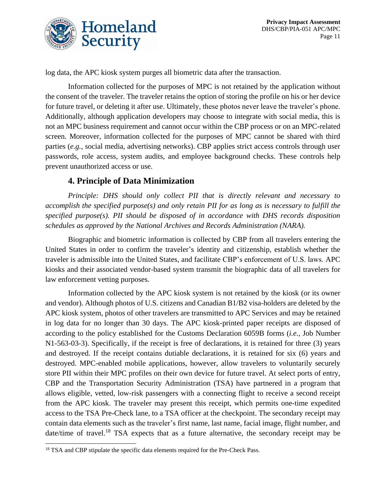

log data, the APC kiosk system purges all biometric data after the transaction.

Information collected for the purposes of MPC is not retained by the application without the consent of the traveler. The traveler retains the option of storing the profile on his or her device for future travel, or deleting it after use. Ultimately, these photos never leave the traveler's phone. Additionally, although application developers may choose to integrate with social media, this is not an MPC business requirement and cannot occur within the CBP process or on an MPC-related screen. Moreover, information collected for the purposes of MPC cannot be shared with third parties (*e.g.*, social media, advertising networks). CBP applies strict access controls through user passwords, role access, system audits, and employee background checks. These controls help prevent unauthorized access or use.

#### **4. Principle of Data Minimization**

*Principle: DHS should only collect PII that is directly relevant and necessary to accomplish the specified purpose(s) and only retain PII for as long as is necessary to fulfill the specified purpose(s). PII should be disposed of in accordance with DHS records disposition schedules as approved by the National Archives and Records Administration (NARA).*

Biographic and biometric information is collected by CBP from all travelers entering the United States in order to confirm the traveler's identity and citizenship, establish whether the traveler is admissible into the United States, and facilitate CBP's enforcement of U.S. laws. APC kiosks and their associated vendor-based system transmit the biographic data of all travelers for law enforcement vetting purposes.

Information collected by the APC kiosk system is not retained by the kiosk (or its owner and vendor). Although photos of U.S. citizens and Canadian B1/B2 visa-holders are deleted by the APC kiosk system, photos of other travelers are transmitted to APC Services and may be retained in log data for no longer than 30 days. The APC kiosk-printed paper receipts are disposed of according to the policy established for the Customs Declaration 6059B forms (*i.e.*, Job Number N1-563-03-3). Specifically, if the receipt is free of declarations, it is retained for three (3) years and destroyed. If the receipt contains dutiable declarations, it is retained for six (6) years and destroyed. MPC-enabled mobile applications, however, allow travelers to voluntarily securely store PII within their MPC profiles on their own device for future travel. At select ports of entry, CBP and the Transportation Security Administration (TSA) have partnered in a program that allows eligible, vetted, low-risk passengers with a connecting flight to receive a second receipt from the APC kiosk. The traveler may present this receipt, which permits one-time expedited access to the TSA Pre-Check lane, to a TSA officer at the checkpoint. The secondary receipt may contain data elements such as the traveler's first name, last name, facial image, flight number, and date/time of travel.<sup>18</sup> TSA expects that as a future alternative, the secondary receipt may be

<sup>&</sup>lt;sup>18</sup> TSA and CBP stipulate the specific data elements required for the Pre-Check Pass.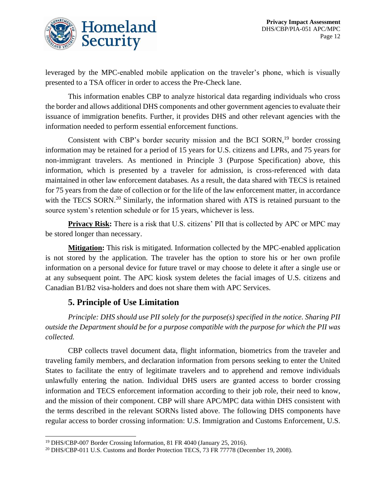



leveraged by the MPC-enabled mobile application on the traveler's phone, which is visually presented to a TSA officer in order to access the Pre-Check lane.

This information enables CBP to analyze historical data regarding individuals who cross the border and allows additional DHS components and other government agencies to evaluate their issuance of immigration benefits. Further, it provides DHS and other relevant agencies with the information needed to perform essential enforcement functions.

Consistent with CBP's border security mission and the BCI SORN, $19$  border crossing information may be retained for a period of 15 years for U.S. citizens and LPRs, and 75 years for non-immigrant travelers. As mentioned in Principle 3 (Purpose Specification) above, this information, which is presented by a traveler for admission, is cross-referenced with data maintained in other law enforcement databases. As a result, the data shared with TECS is retained for 75 years from the date of collection or for the life of the law enforcement matter, in accordance with the TECS SORN.<sup>20</sup> Similarly, the information shared with ATS is retained pursuant to the source system's retention schedule or for 15 years, whichever is less.

**Privacy Risk:** There is a risk that U.S. citizens' PII that is collected by APC or MPC may be stored longer than necessary.

**Mitigation:** This risk is mitigated. Information collected by the MPC-enabled application is not stored by the application. The traveler has the option to store his or her own profile information on a personal device for future travel or may choose to delete it after a single use or at any subsequent point. The APC kiosk system deletes the facial images of U.S. citizens and Canadian B1/B2 visa-holders and does not share them with APC Services.

#### **5. Principle of Use Limitation**

*Principle: DHS should use PII solely for the purpose(s) specified in the notice. Sharing PII outside the Department should be for a purpose compatible with the purpose for which the PII was collected.*

CBP collects travel document data, flight information, biometrics from the traveler and traveling family members, and declaration information from persons seeking to enter the United States to facilitate the entry of legitimate travelers and to apprehend and remove individuals unlawfully entering the nation. Individual DHS users are granted access to border crossing information and TECS enforcement information according to their job role, their need to know, and the mission of their component. CBP will share APC/MPC data within DHS consistent with the terms described in the relevant SORNs listed above. The following DHS components have regular access to border crossing information: U.S. Immigration and Customs Enforcement, U.S.

<sup>&</sup>lt;sup>19</sup> DHS/CBP-007 Border Crossing Information, 81 FR 4040 (January 25, 2016).

<sup>20</sup> DHS/CBP-011 U.S. Customs and Border Protection TECS, 73 FR 77778 (December 19, 2008).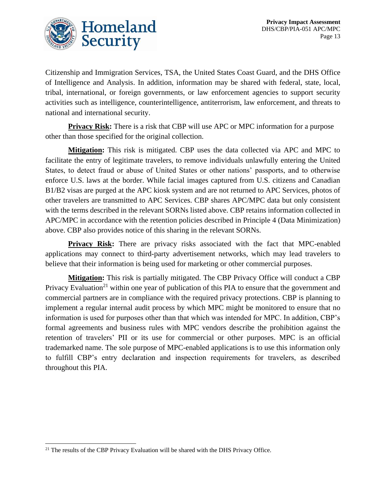

Citizenship and Immigration Services, TSA, the United States Coast Guard, and the DHS Office of Intelligence and Analysis. In addition, information may be shared with federal, state, local, tribal, international, or foreign governments, or law enforcement agencies to support security activities such as intelligence, counterintelligence, antiterrorism, law enforcement, and threats to national and international security.

**Privacy Risk:** There is a risk that CBP will use APC or MPC information for a purpose other than those specified for the original collection.

**Mitigation:** This risk is mitigated. CBP uses the data collected via APC and MPC to facilitate the entry of legitimate travelers, to remove individuals unlawfully entering the United States, to detect fraud or abuse of United States or other nations' passports, and to otherwise enforce U.S. laws at the border. While facial images captured from U.S. citizens and Canadian B1/B2 visas are purged at the APC kiosk system and are not returned to APC Services, photos of other travelers are transmitted to APC Services. CBP shares APC/MPC data but only consistent with the terms described in the relevant SORNs listed above. CBP retains information collected in APC/MPC in accordance with the retention policies described in Principle 4 (Data Minimization) above. CBP also provides notice of this sharing in the relevant SORNs.

**Privacy Risk:** There are privacy risks associated with the fact that MPC-enabled applications may connect to third-party advertisement networks, which may lead travelers to believe that their information is being used for marketing or other commercial purposes.

**Mitigation:** This risk is partially mitigated. The CBP Privacy Office will conduct a CBP Privacy Evaluation<sup>21</sup> within one year of publication of this PIA to ensure that the government and commercial partners are in compliance with the required privacy protections. CBP is planning to implement a regular internal audit process by which MPC might be monitored to ensure that no information is used for purposes other than that which was intended for MPC. In addition, CBP's formal agreements and business rules with MPC vendors describe the prohibition against the retention of travelers' PII or its use for commercial or other purposes. MPC is an official trademarked name. The sole purpose of MPC-enabled applications is to use this information only to fulfill CBP's entry declaration and inspection requirements for travelers, as described throughout this PIA.

<sup>&</sup>lt;sup>21</sup> The results of the CBP Privacy Evaluation will be shared with the DHS Privacy Office.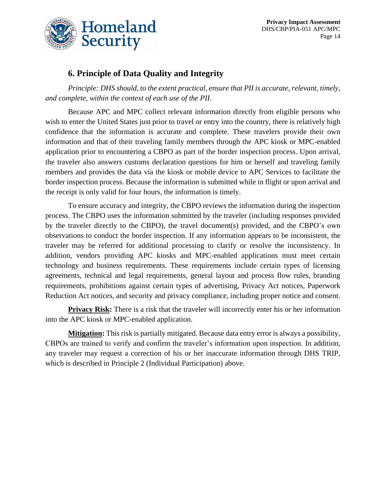

### **6. Principle of Data Quality and Integrity**

*Principle: DHS should, to the extent practical, ensure that PII is accurate, relevant, timely, and complete, within the context of each use of the PII.*

Because APC and MPC collect relevant information directly from eligible persons who wish to enter the United States just prior to travel or entry into the country, there is relatively high confidence that the information is accurate and complete. These travelers provide their own information and that of their traveling family members through the APC kiosk or MPC-enabled application prior to encountering a CBPO as part of the border inspection process. Upon arrival, the traveler also answers customs declaration questions for him or herself and traveling family members and provides the data via the kiosk or mobile device to APC Services to facilitate the border inspection process. Because the information is submitted while in flight or upon arrival and the receipt is only valid for four hours, the information is timely.

To ensure accuracy and integrity, the CBPO reviews the information during the inspection process. The CBPO uses the information submitted by the traveler (including responses provided by the traveler directly to the CBPO), the travel document(s) provided, and the CBPO's own observations to conduct the border inspection. If any information appears to be inconsistent, the traveler may be referred for additional processing to clarify or resolve the inconsistency. In addition, vendors providing APC kiosks and MPC-enabled applications must meet certain technology and business requirements. These requirements include certain types of licensing agreements, technical and legal requirements, general layout and process flow rules, branding requirements, prohibitions against certain types of advertising, Privacy Act notices, Paperwork Reduction Act notices, and security and privacy compliance, including proper notice and consent.

**Privacy Risk:** There is a risk that the traveler will incorrectly enter his or her information into the APC kiosk or MPC-enabled application.

**Mitigation:** This risk is partially mitigated. Because data entry error is always a possibility, CBPOs are trained to verify and confirm the traveler's information upon inspection. In addition, any traveler may request a correction of his or her inaccurate information through DHS TRIP, which is described in Principle 2 (Individual Participation) above.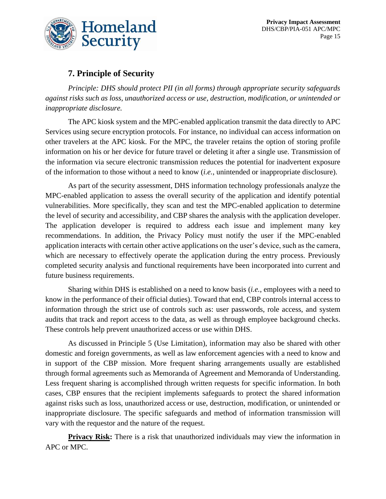

## **7. Principle of Security**

*Principle: DHS should protect PII (in all forms) through appropriate security safeguards against risks such as loss, unauthorized access or use, destruction, modification, or unintended or inappropriate disclosure.*

The APC kiosk system and the MPC-enabled application transmit the data directly to APC Services using secure encryption protocols. For instance, no individual can access information on other travelers at the APC kiosk. For the MPC, the traveler retains the option of storing profile information on his or her device for future travel or deleting it after a single use. Transmission of the information via secure electronic transmission reduces the potential for inadvertent exposure of the information to those without a need to know (*i.e.*, unintended or inappropriate disclosure).

As part of the security assessment, DHS information technology professionals analyze the MPC-enabled application to assess the overall security of the application and identify potential vulnerabilities. More specifically, they scan and test the MPC-enabled application to determine the level of security and accessibility, and CBP shares the analysis with the application developer. The application developer is required to address each issue and implement many key recommendations. In addition, the Privacy Policy must notify the user if the MPC-enabled application interacts with certain other active applications on the user's device, such as the camera, which are necessary to effectively operate the application during the entry process. Previously completed security analysis and functional requirements have been incorporated into current and future business requirements.

Sharing within DHS is established on a need to know basis (*i.e.*, employees with a need to know in the performance of their official duties). Toward that end, CBP controls internal access to information through the strict use of controls such as: user passwords, role access, and system audits that track and report access to the data, as well as through employee background checks. These controls help prevent unauthorized access or use within DHS.

As discussed in Principle 5 (Use Limitation), information may also be shared with other domestic and foreign governments, as well as law enforcement agencies with a need to know and in support of the CBP mission. More frequent sharing arrangements usually are established through formal agreements such as Memoranda of Agreement and Memoranda of Understanding. Less frequent sharing is accomplished through written requests for specific information. In both cases, CBP ensures that the recipient implements safeguards to protect the shared information against risks such as loss, unauthorized access or use, destruction, modification, or unintended or inappropriate disclosure. The specific safeguards and method of information transmission will vary with the requestor and the nature of the request.

**Privacy Risk:** There is a risk that unauthorized individuals may view the information in APC or MPC.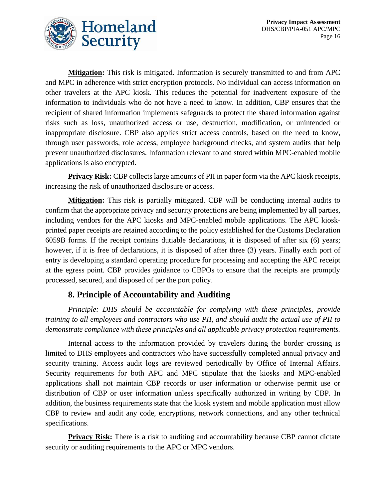

**Mitigation:** This risk is mitigated. Information is securely transmitted to and from APC and MPC in adherence with strict encryption protocols. No individual can access information on other travelers at the APC kiosk. This reduces the potential for inadvertent exposure of the information to individuals who do not have a need to know. In addition, CBP ensures that the recipient of shared information implements safeguards to protect the shared information against risks such as loss, unauthorized access or use, destruction, modification, or unintended or inappropriate disclosure. CBP also applies strict access controls, based on the need to know, through user passwords, role access, employee background checks, and system audits that help prevent unauthorized disclosures. Information relevant to and stored within MPC-enabled mobile applications is also encrypted.

**Privacy Risk:** CBP collects large amounts of PII in paper form via the APC kiosk receipts, increasing the risk of unauthorized disclosure or access.

**Mitigation:** This risk is partially mitigated. CBP will be conducting internal audits to confirm that the appropriate privacy and security protections are being implemented by all parties, including vendors for the APC kiosks and MPC-enabled mobile applications. The APC kioskprinted paper receipts are retained according to the policy established for the Customs Declaration 6059B forms. If the receipt contains dutiable declarations, it is disposed of after six (6) years; however, if it is free of declarations, it is disposed of after three (3) years. Finally each port of entry is developing a standard operating procedure for processing and accepting the APC receipt at the egress point. CBP provides guidance to CBPOs to ensure that the receipts are promptly processed, secured, and disposed of per the port policy.

#### **8. Principle of Accountability and Auditing**

*Principle: DHS should be accountable for complying with these principles, provide training to all employees and contractors who use PII, and should audit the actual use of PII to demonstrate compliance with these principles and all applicable privacy protection requirements.*

Internal access to the information provided by travelers during the border crossing is limited to DHS employees and contractors who have successfully completed annual privacy and security training. Access audit logs are reviewed periodically by Office of Internal Affairs. Security requirements for both APC and MPC stipulate that the kiosks and MPC-enabled applications shall not maintain CBP records or user information or otherwise permit use or distribution of CBP or user information unless specifically authorized in writing by CBP. In addition, the business requirements state that the kiosk system and mobile application must allow CBP to review and audit any code, encryptions, network connections, and any other technical specifications.

**Privacy Risk:** There is a risk to auditing and accountability because CBP cannot dictate security or auditing requirements to the APC or MPC vendors.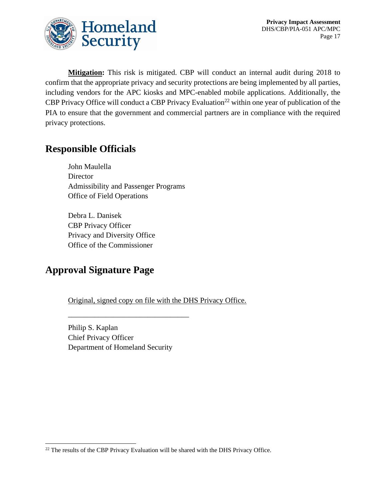

**Mitigation:** This risk is mitigated. CBP will conduct an internal audit during 2018 to confirm that the appropriate privacy and security protections are being implemented by all parties, including vendors for the APC kiosks and MPC-enabled mobile applications. Additionally, the CBP Privacy Office will conduct a CBP Privacy Evaluation<sup>22</sup> within one year of publication of the PIA to ensure that the government and commercial partners are in compliance with the required privacy protections.

# **Responsible Officials**

John Maulella **Director** Admissibility and Passenger Programs Office of Field Operations

Debra L. Danisek CBP Privacy Officer Privacy and Diversity Office Office of the Commissioner

# **Approval Signature Page**

Original, signed copy on file with the DHS Privacy Office.

Philip S. Kaplan Chief Privacy Officer Department of Homeland Security

\_\_\_\_\_\_\_\_\_\_\_\_\_\_\_\_\_\_\_\_\_\_\_\_\_\_\_\_\_\_\_\_

<sup>&</sup>lt;sup>22</sup> The results of the CBP Privacy Evaluation will be shared with the DHS Privacy Office.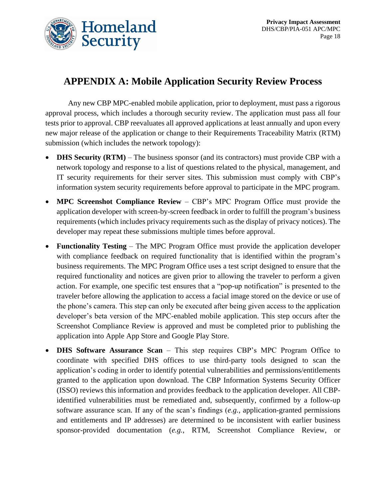

# **APPENDIX A: Mobile Application Security Review Process**

Any new CBP MPC-enabled mobile application, prior to deployment, must pass a rigorous approval process, which includes a thorough security review. The application must pass all four tests prior to approval. CBP reevaluates all approved applications at least annually and upon every new major release of the application or change to their Requirements Traceability Matrix (RTM) submission (which includes the network topology):

- **DHS Security (RTM)** The business sponsor (and its contractors) must provide CBP with a network topology and response to a list of questions related to the physical, management, and IT security requirements for their server sites. This submission must comply with CBP's information system security requirements before approval to participate in the MPC program.
- **MPC Screenshot Compliance Review** CBP's MPC Program Office must provide the application developer with screen-by-screen feedback in order to fulfill the program's business requirements (which includes privacy requirements such as the display of privacy notices). The developer may repeat these submissions multiple times before approval.
- **Functionality Testing** The MPC Program Office must provide the application developer with compliance feedback on required functionality that is identified within the program's business requirements. The MPC Program Office uses a test script designed to ensure that the required functionality and notices are given prior to allowing the traveler to perform a given action. For example, one specific test ensures that a "pop-up notification" is presented to the traveler before allowing the application to access a facial image stored on the device or use of the phone's camera. This step can only be executed after being given access to the application developer's beta version of the MPC-enabled mobile application. This step occurs after the Screenshot Compliance Review is approved and must be completed prior to publishing the application into Apple App Store and Google Play Store.
- **DHS Software Assurance Scan** This step requires CBP's MPC Program Office to coordinate with specified DHS offices to use third-party tools designed to scan the application's coding in order to identify potential vulnerabilities and permissions/entitlements granted to the application upon download. The CBP Information Systems Security Officer (ISSO) reviews this information and provides feedback to the application developer. All CBPidentified vulnerabilities must be remediated and, subsequently, confirmed by a follow-up software assurance scan. If any of the scan's findings (*e.g.*, application-granted permissions and entitlements and IP addresses) are determined to be inconsistent with earlier business sponsor-provided documentation (*e.g.*, RTM, Screenshot Compliance Review, or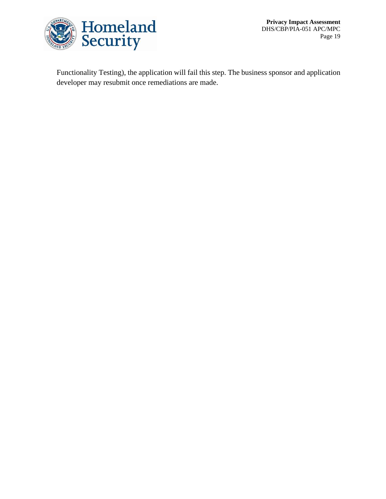

**Privacy Impact Assessment** DHS/CBP/PIA-051 APC/MPC Page 19

Functionality Testing), the application will fail this step. The business sponsor and application developer may resubmit once remediations are made.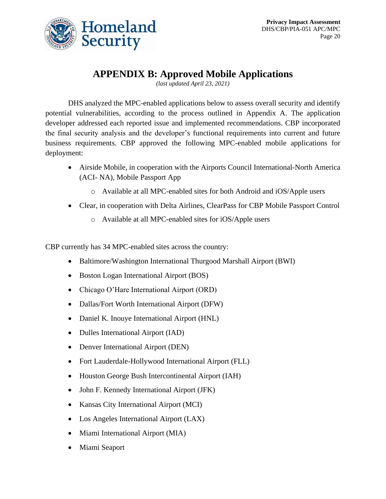

# **APPENDIX B: Approved Mobile Applications**

*(last updated April 23, 2021)*

DHS analyzed the MPC-enabled applications below to assess overall security and identify potential vulnerabilities, according to the process outlined in Appendix A. The application developer addressed each reported issue and implemented recommendations. CBP incorporated the final security analysis and the developer's functional requirements into current and future business requirements. CBP approved the following MPC-enabled mobile applications for deployment:

- Airside Mobile, in cooperation with the Airports Council International-North America (ACI- NA), Mobile Passport App
	- o Available at all MPC-enabled sites for both Android and iOS/Apple users
- Clear, in cooperation with Delta Airlines, ClearPass for CBP Mobile Passport Control
	- o Available at all MPC-enabled sites for iOS/Apple users

CBP currently has 34 MPC-enabled sites across the country:

- Baltimore/Washington International Thurgood Marshall Airport (BWI)
- Boston Logan International Airport (BOS)
- Chicago O'Hare International Airport (ORD)
- Dallas/Fort Worth International Airport (DFW)
- Daniel K. Inouye International Airport (HNL)
- Dulles International Airport (IAD)
- Denver International Airport (DEN)
- Fort Lauderdale-Hollywood International Airport (FLL)
- Houston George Bush Intercontinental Airport (IAH)
- John F. Kennedy International Airport (JFK)
- Kansas City International Airport (MCI)
- Los Angeles International Airport (LAX)
- Miami International Airport (MIA)
- Miami Seaport